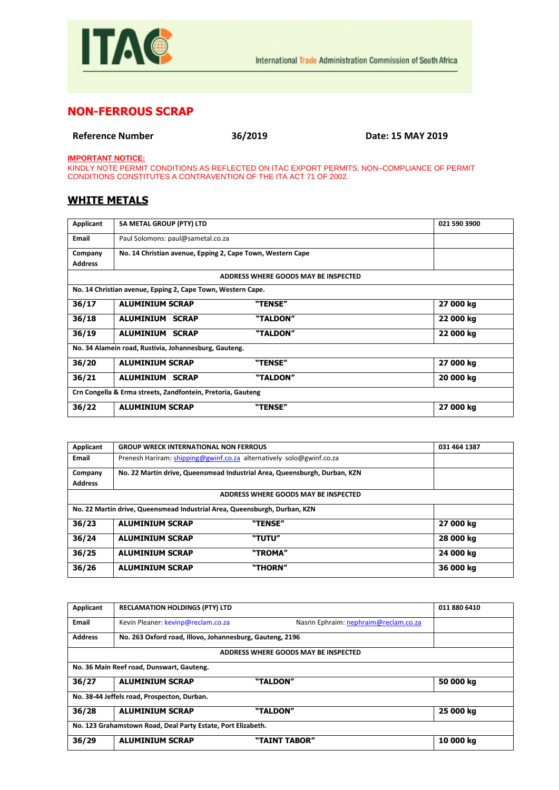

## **NON-FERROUS SCRAP**

**Reference Number 36/2019 Date: 15 MAY 2019**

**IMPORTANT NOTICE:**

KINDLY NOTE PERMIT CONDITIONS AS REFLECTED ON ITAC EXPORT PERMITS. NON–COMPLIANCE OF PERMIT CONDITIONS CONSTITUTES A CONTRAVENTION OF THE ITA ACT 71 OF 2002.

## **WHITE METALS**

| Applicant                                                   | SA METAL GROUP (PTY) LTD                                    |                                      | 021 590 3900 |
|-------------------------------------------------------------|-------------------------------------------------------------|--------------------------------------|--------------|
| Email                                                       | Paul Solomons: paul@sametal.co.za                           |                                      |              |
| Company                                                     | No. 14 Christian avenue, Epping 2, Cape Town, Western Cape  |                                      |              |
| <b>Address</b>                                              |                                                             |                                      |              |
|                                                             |                                                             | ADDRESS WHERE GOODS MAY BE INSPECTED |              |
|                                                             | No. 14 Christian avenue, Epping 2, Cape Town, Western Cape. |                                      |              |
| 36/17                                                       | <b>ALUMINIUM SCRAP</b>                                      | "TENSE"                              | 27 000 kg    |
| 36/18                                                       | <b>ALUMINIUM SCRAP</b>                                      | "TALDON"                             | 22 000 kg    |
| 36/19                                                       | <b>ALUMINIUM SCRAP</b>                                      | "TALDON"                             | 22 000 kg    |
| No. 34 Alamein road, Rustivia, Johannesburg, Gauteng.       |                                                             |                                      |              |
| 36/20                                                       | <b>ALUMINIUM SCRAP</b>                                      | "TENSE"                              | 27 000 kg    |
| 36/21                                                       | <b>ALUMINIUM SCRAP</b>                                      | "TALDON"                             | 20 000 kg    |
| Crn Congella & Erma streets, Zandfontein, Pretoria, Gauteng |                                                             |                                      |              |
| 36/22                                                       | <b>ALUMINIUM SCRAP</b>                                      | "TENSE"                              | 27 000 kg    |

| Applicant                                                                 | <b>GROUP WRECK INTERNATIONAL NON FERROUS</b> |                                                                           | 031 464 1387 |
|---------------------------------------------------------------------------|----------------------------------------------|---------------------------------------------------------------------------|--------------|
| <b>Email</b>                                                              |                                              | Prenesh Hariram: shipping@gwinf.co.za alternatively solo@gwinf.co.za      |              |
| Company                                                                   |                                              | No. 22 Martin drive, Queensmead Industrial Area, Queensburgh, Durban, KZN |              |
| <b>Address</b>                                                            |                                              |                                                                           |              |
|                                                                           |                                              | ADDRESS WHERE GOODS MAY BE INSPECTED                                      |              |
| No. 22 Martin drive, Queensmead Industrial Area, Queensburgh, Durban, KZN |                                              |                                                                           |              |
| 36/23                                                                     | <b>ALUMINIUM SCRAP</b>                       | "TENSE"                                                                   | 27 000 kg    |
| 36/24                                                                     | <b>ALUMINIUM SCRAP</b>                       | "TUTU"                                                                    | 28 000 kg    |
| 36/25                                                                     | <b>ALUMINIUM SCRAP</b>                       | "TROMA"                                                                   | 24 000 kg    |
| 36/26                                                                     | <b>ALUMINIUM SCRAP</b>                       | "THORN"                                                                   | 36 000 kg    |

| Applicant                                                    | <b>RECLAMATION HOLDINGS (PTY) LTD</b>                    |                                       | 011 880 6410 |
|--------------------------------------------------------------|----------------------------------------------------------|---------------------------------------|--------------|
| <b>Email</b>                                                 | Kevin Pleaner: kevinp@reclam.co.za                       | Nasrin Ephraim: nephraim@reclam.co.za |              |
| <b>Address</b>                                               | No. 263 Oxford road, Illovo, Johannesburg, Gauteng, 2196 |                                       |              |
|                                                              |                                                          | ADDRESS WHERE GOODS MAY BE INSPECTED  |              |
|                                                              | No. 36 Main Reef road, Dunswart, Gauteng.                |                                       |              |
| 36/27                                                        | <b>ALUMINIUM SCRAP</b>                                   | "TALDON"                              | 50 000 kg    |
| No. 38-44 Jeffels road, Prospecton, Durban.                  |                                                          |                                       |              |
| 36/28                                                        | <b>ALUMINIUM SCRAP</b>                                   | "TALDON"                              | 25 000 kg    |
| No. 123 Grahamstown Road, Deal Party Estate, Port Elizabeth. |                                                          |                                       |              |
| 36/29                                                        | <b>ALUMINIUM SCRAP</b>                                   | "TAINT TABOR"                         | 10 000 kg    |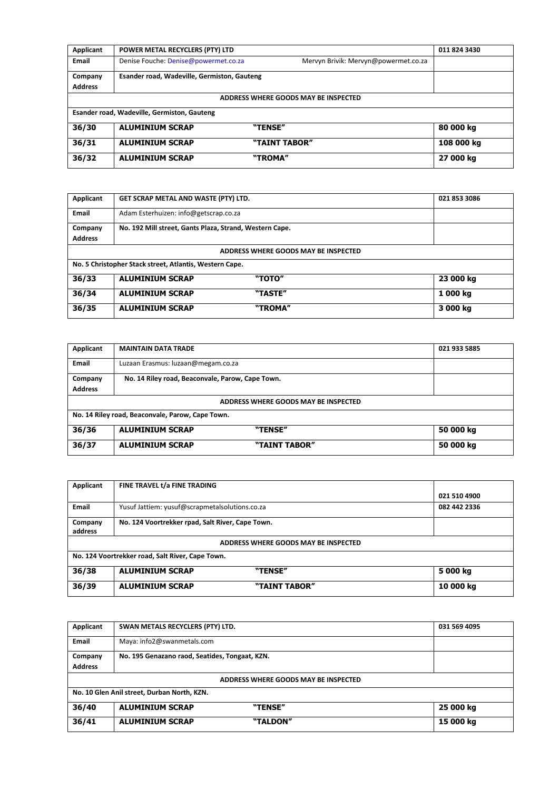| Applicant                                   | POWER METAL RECYCLERS (PTY) LTD             |                                      | 011 824 3430 |
|---------------------------------------------|---------------------------------------------|--------------------------------------|--------------|
| <b>Email</b>                                | Denise Fouche: Denise@powermet.co.za        | Mervyn Brivik: Mervyn@powermet.co.za |              |
| Company                                     | Esander road, Wadeville, Germiston, Gauteng |                                      |              |
| <b>Address</b>                              |                                             |                                      |              |
|                                             |                                             | ADDRESS WHERE GOODS MAY BE INSPECTED |              |
| Esander road, Wadeville, Germiston, Gauteng |                                             |                                      |              |
| 36/30                                       | <b>ALUMINIUM SCRAP</b>                      | "TENSE"                              | 80 000 kg    |
| 36/31                                       | <b>ALUMINIUM SCRAP</b>                      | "TAINT TABOR"                        | 108 000 kg   |
| 36/32                                       | <b>ALUMINIUM SCRAP</b>                      | "TROMA"                              | 27 000 kg    |

| Applicant                                               | GET SCRAP METAL AND WASTE (PTY) LTD.                    |         | 021 853 3086 |  |
|---------------------------------------------------------|---------------------------------------------------------|---------|--------------|--|
| <b>Email</b>                                            | Adam Esterhuizen: info@getscrap.co.za                   |         |              |  |
| Company                                                 | No. 192 Mill street, Gants Plaza, Strand, Western Cape. |         |              |  |
| <b>Address</b>                                          |                                                         |         |              |  |
| ADDRESS WHERE GOODS MAY BE INSPECTED                    |                                                         |         |              |  |
| No. 5 Christopher Stack street, Atlantis, Western Cape. |                                                         |         |              |  |
| 36/33                                                   | <b>ALUMINIUM SCRAP</b>                                  | "TOTO"  | 23 000 kg    |  |
| 36/34                                                   | <b>ALUMINIUM SCRAP</b>                                  | "TASTE" | 1 000 kg     |  |
| 36/35                                                   | <b>ALUMINIUM SCRAP</b>                                  | "TROMA" | 3 000 kg     |  |

| Applicant                                        | <b>MAINTAIN DATA TRADE</b>                       | 021 933 5885 |  |
|--------------------------------------------------|--------------------------------------------------|--------------|--|
| Email                                            | Luzaan Erasmus: luzaan@megam.co.za               |              |  |
| Company                                          | No. 14 Riley road, Beaconvale, Parow, Cape Town. |              |  |
| <b>Address</b>                                   |                                                  |              |  |
| ADDRESS WHERE GOODS MAY BE INSPECTED             |                                                  |              |  |
| No. 14 Riley road, Beaconvale, Parow, Cape Town. |                                                  |              |  |
| 36/36                                            | <b>ALUMINIUM SCRAP</b><br>"TENSE"                | 50 000 kg    |  |
| 36/37                                            | <b>ALUMINIUM SCRAP</b><br>"TAINT TABOR"          | 50 000 kg    |  |

| Applicant                                        | FINE TRAVEL t/a FINE TRADING                     |              |  |
|--------------------------------------------------|--------------------------------------------------|--------------|--|
|                                                  |                                                  | 021 510 4900 |  |
| Email                                            | Yusuf Jattiem: yusuf@scrapmetalsolutions.co.za   | 082 442 2336 |  |
| Company                                          | No. 124 Voortrekker rpad, Salt River, Cape Town. |              |  |
| address                                          |                                                  |              |  |
| ADDRESS WHERE GOODS MAY BE INSPECTED             |                                                  |              |  |
| No. 124 Voortrekker road, Salt River, Cape Town. |                                                  |              |  |
| 36/38                                            | <b>ALUMINIUM SCRAP</b><br>"TENSE"                | 5 000 kg     |  |
| 36/39                                            | <b>ALUMINIUM SCRAP</b><br>"TAINT TABOR"          | 10 000 kg    |  |

| Applicant                                   | SWAN METALS RECYCLERS (PTY) LTD.               | 031 569 4095 |  |  |
|---------------------------------------------|------------------------------------------------|--------------|--|--|
| Email                                       | Maya: info2@swanmetals.com                     |              |  |  |
| Company                                     | No. 195 Genazano raod, Seatides, Tongaat, KZN. |              |  |  |
| <b>Address</b>                              |                                                |              |  |  |
| ADDRESS WHERE GOODS MAY BE INSPECTED        |                                                |              |  |  |
| No. 10 Glen Anil street, Durban North, KZN. |                                                |              |  |  |
| 36/40                                       | <b>ALUMINIUM SCRAP</b><br>"TENSE"              | 25 000 kg    |  |  |
| 36/41                                       | "TALDON"<br><b>ALUMINIUM SCRAP</b>             | 15 000 kg    |  |  |